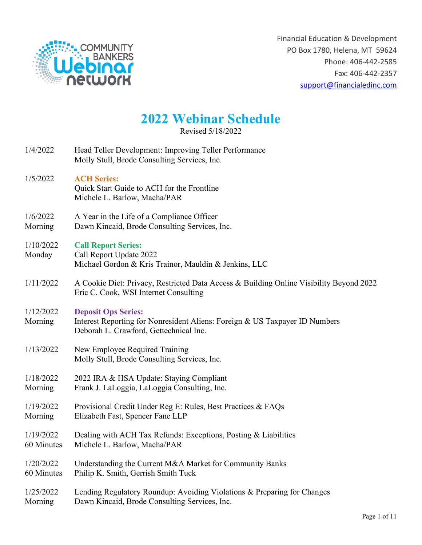

Financial Education & Development PO Box 1780, Helena, MT 59624 Phone: 406-442-2585 Fax: 406-442-2357 [support@financialedinc.com](mailto:support@financialedinc.com)

## **2022 Webinar Schedule**

Revised 5/18/2022

| 1/4/2022             | Head Teller Development: Improving Teller Performance<br>Molly Stull, Brode Consulting Services, Inc.                                               |
|----------------------|-----------------------------------------------------------------------------------------------------------------------------------------------------|
| 1/5/2022             | <b>ACH Series:</b><br>Quick Start Guide to ACH for the Frontline<br>Michele L. Barlow, Macha/PAR                                                    |
| 1/6/2022             | A Year in the Life of a Compliance Officer                                                                                                          |
| Morning              | Dawn Kincaid, Brode Consulting Services, Inc.                                                                                                       |
| 1/10/2022<br>Monday  | <b>Call Report Series:</b><br>Call Report Update 2022<br>Michael Gordon & Kris Trainor, Mauldin & Jenkins, LLC                                      |
| 1/11/2022            | A Cookie Diet: Privacy, Restricted Data Access & Building Online Visibility Beyond 2022<br>Eric C. Cook, WSI Internet Consulting                    |
| 1/12/2022<br>Morning | <b>Deposit Ops Series:</b><br>Interest Reporting for Nonresident Aliens: Foreign & US Taxpayer ID Numbers<br>Deborah L. Crawford, Gettechnical Inc. |
| 1/13/2022            | New Employee Required Training<br>Molly Stull, Brode Consulting Services, Inc.                                                                      |
| 1/18/2022            | 2022 IRA & HSA Update: Staying Compliant                                                                                                            |
| Morning              | Frank J. LaLoggia, LaLoggia Consulting, Inc.                                                                                                        |
| 1/19/2022            | Provisional Credit Under Reg E: Rules, Best Practices & FAQs                                                                                        |
| Morning              | Elizabeth Fast, Spencer Fane LLP                                                                                                                    |
| 1/19/2022            | Dealing with ACH Tax Refunds: Exceptions, Posting & Liabilities                                                                                     |
| 60 Minutes           | Michele L. Barlow, Macha/PAR                                                                                                                        |
| 1/20/2022            | Understanding the Current M&A Market for Community Banks                                                                                            |
| 60 Minutes           | Philip K. Smith, Gerrish Smith Tuck                                                                                                                 |
| 1/25/2022            | Lending Regulatory Roundup: Avoiding Violations & Preparing for Changes                                                                             |
| Morning              | Dawn Kincaid, Brode Consulting Services, Inc.                                                                                                       |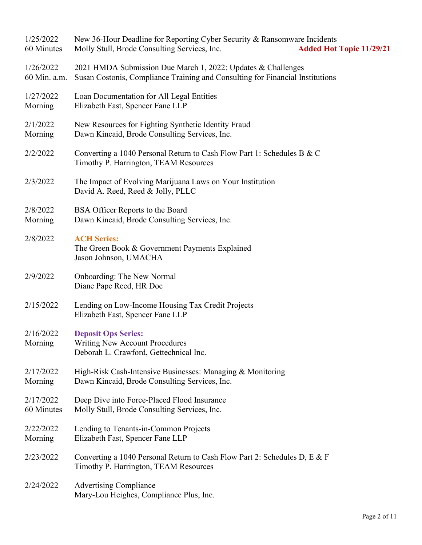| 1/25/2022<br>60 Minutes   | New 36-Hour Deadline for Reporting Cyber Security & Ransomware Incidents<br>Molly Stull, Brode Consulting Services, Inc.                      | <b>Added Hot Topic 11/29/21</b> |
|---------------------------|-----------------------------------------------------------------------------------------------------------------------------------------------|---------------------------------|
| 1/26/2022<br>60 Min. a.m. | 2021 HMDA Submission Due March 1, 2022: Updates & Challenges<br>Susan Costonis, Compliance Training and Consulting for Financial Institutions |                                 |
| 1/27/2022<br>Morning      | Loan Documentation for All Legal Entities<br>Elizabeth Fast, Spencer Fane LLP                                                                 |                                 |
| 2/1/2022<br>Morning       | New Resources for Fighting Synthetic Identity Fraud<br>Dawn Kincaid, Brode Consulting Services, Inc.                                          |                                 |
| 2/2/2022                  | Converting a 1040 Personal Return to Cash Flow Part 1: Schedules B & C<br>Timothy P. Harrington, TEAM Resources                               |                                 |
| 2/3/2022                  | The Impact of Evolving Marijuana Laws on Your Institution<br>David A. Reed, Reed & Jolly, PLLC                                                |                                 |
| 2/8/2022<br>Morning       | BSA Officer Reports to the Board<br>Dawn Kincaid, Brode Consulting Services, Inc.                                                             |                                 |
| 2/8/2022                  | <b>ACH Series:</b><br>The Green Book & Government Payments Explained<br>Jason Johnson, UMACHA                                                 |                                 |
| 2/9/2022                  | <b>Onboarding: The New Normal</b><br>Diane Pape Reed, HR Doc                                                                                  |                                 |
| 2/15/2022                 | Lending on Low-Income Housing Tax Credit Projects<br>Elizabeth Fast, Spencer Fane LLP                                                         |                                 |
| 2/16/2022<br>Morning      | <b>Deposit Ops Series:</b><br>Writing New Account Procedures<br>Deborah L. Crawford, Gettechnical Inc.                                        |                                 |
| 2/17/2022<br>Morning      | High-Risk Cash-Intensive Businesses: Managing & Monitoring<br>Dawn Kincaid, Brode Consulting Services, Inc.                                   |                                 |
| 2/17/2022<br>60 Minutes   | Deep Dive into Force-Placed Flood Insurance<br>Molly Stull, Brode Consulting Services, Inc.                                                   |                                 |
| 2/22/2022<br>Morning      | Lending to Tenants-in-Common Projects<br>Elizabeth Fast, Spencer Fane LLP                                                                     |                                 |
| 2/23/2022                 | Converting a 1040 Personal Return to Cash Flow Part 2: Schedules D, E & F<br>Timothy P. Harrington, TEAM Resources                            |                                 |
| 2/24/2022                 | <b>Advertising Compliance</b><br>Mary-Lou Heighes, Compliance Plus, Inc.                                                                      |                                 |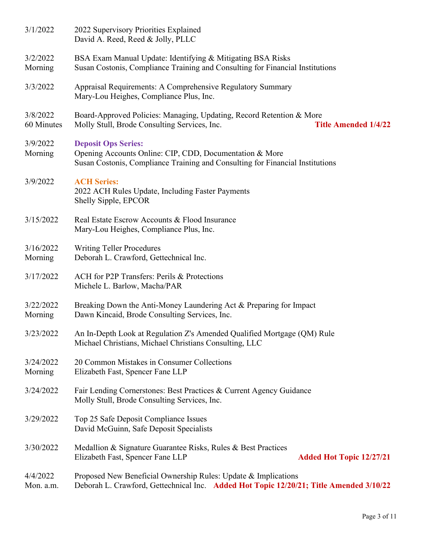| 3/1/2022               | 2022 Supervisory Priorities Explained<br>David A. Reed, Reed & Jolly, PLLC                                                                                             |
|------------------------|------------------------------------------------------------------------------------------------------------------------------------------------------------------------|
| 3/2/2022<br>Morning    | BSA Exam Manual Update: Identifying & Mitigating BSA Risks<br>Susan Costonis, Compliance Training and Consulting for Financial Institutions                            |
| 3/3/2022               | Appraisal Requirements: A Comprehensive Regulatory Summary<br>Mary-Lou Heighes, Compliance Plus, Inc.                                                                  |
| 3/8/2022<br>60 Minutes | Board-Approved Policies: Managing, Updating, Record Retention & More<br>Molly Stull, Brode Consulting Services, Inc.<br><b>Title Amended 1/4/22</b>                    |
| 3/9/2022<br>Morning    | <b>Deposit Ops Series:</b><br>Opening Accounts Online: CIP, CDD, Documentation & More<br>Susan Costonis, Compliance Training and Consulting for Financial Institutions |
| 3/9/2022               | <b>ACH Series:</b><br>2022 ACH Rules Update, Including Faster Payments<br>Shelly Sipple, EPCOR                                                                         |
| 3/15/2022              | Real Estate Escrow Accounts & Flood Insurance<br>Mary-Lou Heighes, Compliance Plus, Inc.                                                                               |
| 3/16/2022<br>Morning   | <b>Writing Teller Procedures</b><br>Deborah L. Crawford, Gettechnical Inc.                                                                                             |
| 3/17/2022              | ACH for P2P Transfers: Perils & Protections<br>Michele L. Barlow, Macha/PAR                                                                                            |
| 3/22/2022<br>Morning   | Breaking Down the Anti-Money Laundering Act & Preparing for Impact<br>Dawn Kincaid, Brode Consulting Services, Inc.                                                    |
| 3/23/2022              | An In-Depth Look at Regulation Z's Amended Qualified Mortgage (QM) Rule<br>Michael Christians, Michael Christians Consulting, LLC                                      |
| 3/24/2022<br>Morning   | 20 Common Mistakes in Consumer Collections<br>Elizabeth Fast, Spencer Fane LLP                                                                                         |
| 3/24/2022              | Fair Lending Cornerstones: Best Practices & Current Agency Guidance<br>Molly Stull, Brode Consulting Services, Inc.                                                    |
| 3/29/2022              | Top 25 Safe Deposit Compliance Issues<br>David McGuinn, Safe Deposit Specialists                                                                                       |
| 3/30/2022              | Medallion & Signature Guarantee Risks, Rules & Best Practices<br>Elizabeth Fast, Spencer Fane LLP<br><b>Added Hot Topic 12/27/21</b>                                   |
| 4/4/2022<br>Mon. a.m.  | Proposed New Beneficial Ownership Rules: Update & Implications<br>Deborah L. Crawford, Gettechnical Inc. Added Hot Topic 12/20/21; Title Amended 3/10/22               |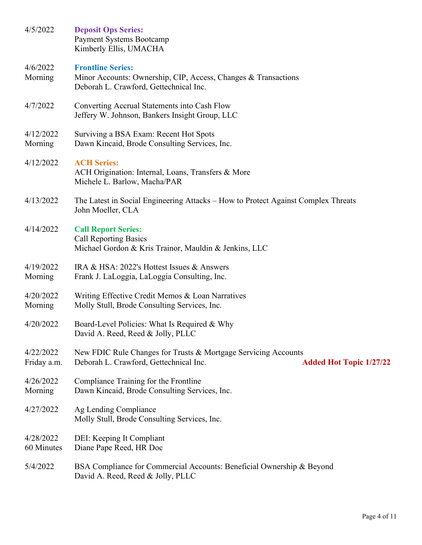| 4/5/2022                 | <b>Deposit Ops Series:</b><br>Payment Systems Bootcamp<br>Kimberly Ellis, UMACHA                                                           |
|--------------------------|--------------------------------------------------------------------------------------------------------------------------------------------|
| 4/6/2022<br>Morning      | <b>Frontline Series:</b><br>Minor Accounts: Ownership, CIP, Access, Changes & Transactions<br>Deborah L. Crawford, Gettechnical Inc.       |
| 4/7/2022                 | Converting Accrual Statements into Cash Flow<br>Jeffery W. Johnson, Bankers Insight Group, LLC                                             |
| 4/12/2022<br>Morning     | Surviving a BSA Exam: Recent Hot Spots<br>Dawn Kincaid, Brode Consulting Services, Inc.                                                    |
| 4/12/2022                | <b>ACH Series:</b><br>ACH Origination: Internal, Loans, Transfers & More<br>Michele L. Barlow, Macha/PAR                                   |
| 4/13/2022                | The Latest in Social Engineering Attacks – How to Protect Against Complex Threats<br>John Moeller, CLA                                     |
| 4/14/2022                | <b>Call Report Series:</b><br><b>Call Reporting Basics</b><br>Michael Gordon & Kris Trainor, Mauldin & Jenkins, LLC                        |
| 4/19/2022<br>Morning     | IRA & HSA: 2022's Hottest Issues & Answers<br>Frank J. LaLoggia, LaLoggia Consulting, Inc.                                                 |
| 4/20/2022<br>Morning     | Writing Effective Credit Memos & Loan Narratives<br>Molly Stull, Brode Consulting Services, Inc.                                           |
| 4/20/2022                | Board-Level Policies: What Is Required & Why<br>David A. Reed, Reed & Jolly, PLLC                                                          |
| 4/22/2022<br>Friday a.m. | New FDIC Rule Changes for Trusts & Mortgage Servicing Accounts<br>Deborah L. Crawford, Gettechnical Inc.<br><b>Added Hot Topic 1/27/22</b> |
| 4/26/2022<br>Morning     | Compliance Training for the Frontline<br>Dawn Kincaid, Brode Consulting Services, Inc.                                                     |
| 4/27/2022                | Ag Lending Compliance<br>Molly Stull, Brode Consulting Services, Inc.                                                                      |
| 4/28/2022<br>60 Minutes  | DEI: Keeping It Compliant<br>Diane Pape Reed, HR Doc                                                                                       |
| 5/4/2022                 | BSA Compliance for Commercial Accounts: Beneficial Ownership & Beyond<br>David A. Reed, Reed & Jolly, PLLC                                 |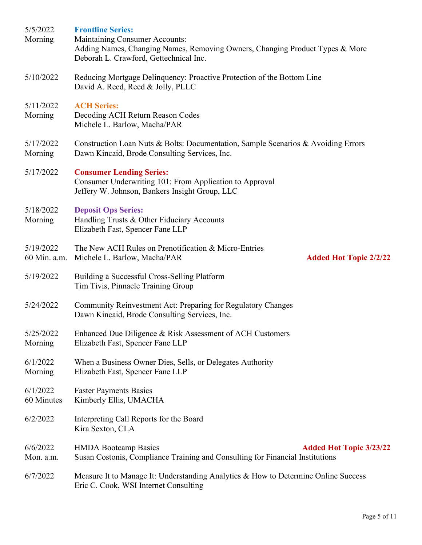| 5/5/2022<br>Morning       | <b>Frontline Series:</b><br><b>Maintaining Consumer Accounts:</b><br>Adding Names, Changing Names, Removing Owners, Changing Product Types & More<br>Deborah L. Crawford, Gettechnical Inc. |
|---------------------------|---------------------------------------------------------------------------------------------------------------------------------------------------------------------------------------------|
| 5/10/2022                 | Reducing Mortgage Delinquency: Proactive Protection of the Bottom Line<br>David A. Reed, Reed & Jolly, PLLC                                                                                 |
| 5/11/2022<br>Morning      | <b>ACH Series:</b><br>Decoding ACH Return Reason Codes<br>Michele L. Barlow, Macha/PAR                                                                                                      |
| 5/17/2022<br>Morning      | Construction Loan Nuts & Bolts: Documentation, Sample Scenarios & Avoiding Errors<br>Dawn Kincaid, Brode Consulting Services, Inc.                                                          |
| 5/17/2022                 | <b>Consumer Lending Series:</b><br>Consumer Underwriting 101: From Application to Approval<br>Jeffery W. Johnson, Bankers Insight Group, LLC                                                |
| 5/18/2022<br>Morning      | <b>Deposit Ops Series:</b><br>Handling Trusts & Other Fiduciary Accounts<br>Elizabeth Fast, Spencer Fane LLP                                                                                |
| 5/19/2022<br>60 Min. a.m. | The New ACH Rules on Prenotification & Micro-Entries<br>Michele L. Barlow, Macha/PAR<br><b>Added Hot Topic 2/2/22</b>                                                                       |
| 5/19/2022                 | Building a Successful Cross-Selling Platform<br>Tim Tivis, Pinnacle Training Group                                                                                                          |
| 5/24/2022                 | Community Reinvestment Act: Preparing for Regulatory Changes<br>Dawn Kincaid, Brode Consulting Services, Inc.                                                                               |
| 5/25/2022<br>Morning      | Enhanced Due Diligence & Risk Assessment of ACH Customers<br>Elizabeth Fast, Spencer Fane LLP                                                                                               |
| 6/1/2022<br>Morning       | When a Business Owner Dies, Sells, or Delegates Authority<br>Elizabeth Fast, Spencer Fane LLP                                                                                               |
| 6/1/2022<br>60 Minutes    | <b>Faster Payments Basics</b><br>Kimberly Ellis, UMACHA                                                                                                                                     |
| 6/2/2022                  | Interpreting Call Reports for the Board<br>Kira Sexton, CLA                                                                                                                                 |
| 6/6/2022<br>Mon. a.m.     | <b>HMDA Bootcamp Basics</b><br><b>Added Hot Topic 3/23/22</b><br>Susan Costonis, Compliance Training and Consulting for Financial Institutions                                              |
| 6/7/2022                  | Measure It to Manage It: Understanding Analytics & How to Determine Online Success<br>Eric C. Cook, WSI Internet Consulting                                                                 |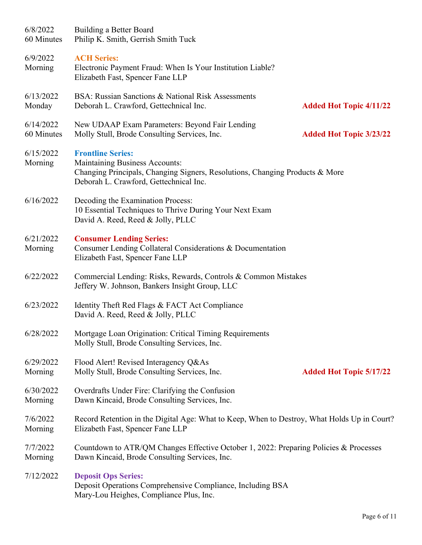| 6/8/2022<br>60 Minutes  | Building a Better Board<br>Philip K. Smith, Gerrish Smith Tuck                                                                                                                              |                                |
|-------------------------|---------------------------------------------------------------------------------------------------------------------------------------------------------------------------------------------|--------------------------------|
| 6/9/2022<br>Morning     | <b>ACH Series:</b><br>Electronic Payment Fraud: When Is Your Institution Liable?<br>Elizabeth Fast, Spencer Fane LLP                                                                        |                                |
| 6/13/2022<br>Monday     | BSA: Russian Sanctions & National Risk Assessments<br>Deborah L. Crawford, Gettechnical Inc.                                                                                                | <b>Added Hot Topic 4/11/22</b> |
| 6/14/2022<br>60 Minutes | New UDAAP Exam Parameters: Beyond Fair Lending<br>Molly Stull, Brode Consulting Services, Inc.                                                                                              | <b>Added Hot Topic 3/23/22</b> |
| 6/15/2022<br>Morning    | <b>Frontline Series:</b><br><b>Maintaining Business Accounts:</b><br>Changing Principals, Changing Signers, Resolutions, Changing Products & More<br>Deborah L. Crawford, Gettechnical Inc. |                                |
| 6/16/2022               | Decoding the Examination Process:<br>10 Essential Techniques to Thrive During Your Next Exam<br>David A. Reed, Reed & Jolly, PLLC                                                           |                                |
| 6/21/2022<br>Morning    | <b>Consumer Lending Series:</b><br>Consumer Lending Collateral Considerations & Documentation<br>Elizabeth Fast, Spencer Fane LLP                                                           |                                |
| 6/22/2022               | Commercial Lending: Risks, Rewards, Controls & Common Mistakes<br>Jeffery W. Johnson, Bankers Insight Group, LLC                                                                            |                                |
| 6/23/2022               | Identity Theft Red Flags & FACT Act Compliance<br>David A. Reed, Reed & Jolly, PLLC                                                                                                         |                                |
| 6/28/2022               | Mortgage Loan Origination: Critical Timing Requirements<br>Molly Stull, Brode Consulting Services, Inc.                                                                                     |                                |
| 6/29/2022<br>Morning    | Flood Alert! Revised Interagency Q&As<br>Molly Stull, Brode Consulting Services, Inc.                                                                                                       | <b>Added Hot Topic 5/17/22</b> |
| 6/30/2022<br>Morning    | Overdrafts Under Fire: Clarifying the Confusion<br>Dawn Kincaid, Brode Consulting Services, Inc.                                                                                            |                                |
| 7/6/2022<br>Morning     | Record Retention in the Digital Age: What to Keep, When to Destroy, What Holds Up in Court?<br>Elizabeth Fast, Spencer Fane LLP                                                             |                                |
| 7/7/2022<br>Morning     | Countdown to ATR/QM Changes Effective October 1, 2022: Preparing Policies & Processes<br>Dawn Kincaid, Brode Consulting Services, Inc.                                                      |                                |
| 7/12/2022               | <b>Deposit Ops Series:</b><br>Deposit Operations Comprehensive Compliance, Including BSA<br>Mary-Lou Heighes, Compliance Plus, Inc.                                                         |                                |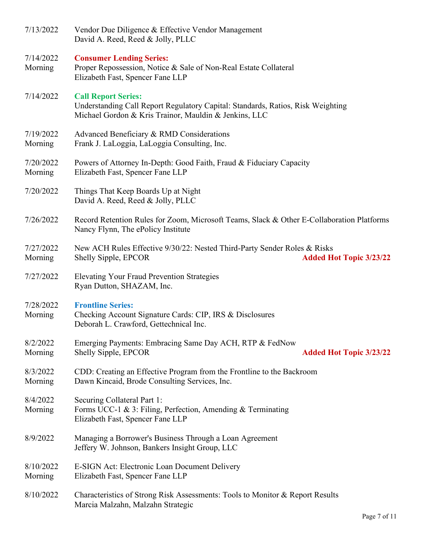| 7/13/2022            | Vendor Due Diligence & Effective Vendor Management<br>David A. Reed, Reed & Jolly, PLLC                                                                                |
|----------------------|------------------------------------------------------------------------------------------------------------------------------------------------------------------------|
| 7/14/2022<br>Morning | <b>Consumer Lending Series:</b><br>Proper Repossession, Notice & Sale of Non-Real Estate Collateral<br>Elizabeth Fast, Spencer Fane LLP                                |
| 7/14/2022            | <b>Call Report Series:</b><br>Understanding Call Report Regulatory Capital: Standards, Ratios, Risk Weighting<br>Michael Gordon & Kris Trainor, Mauldin & Jenkins, LLC |
| 7/19/2022<br>Morning | Advanced Beneficiary & RMD Considerations<br>Frank J. LaLoggia, LaLoggia Consulting, Inc.                                                                              |
| 7/20/2022<br>Morning | Powers of Attorney In-Depth: Good Faith, Fraud & Fiduciary Capacity<br>Elizabeth Fast, Spencer Fane LLP                                                                |
| 7/20/2022            | Things That Keep Boards Up at Night<br>David A. Reed, Reed & Jolly, PLLC                                                                                               |
| 7/26/2022            | Record Retention Rules for Zoom, Microsoft Teams, Slack & Other E-Collaboration Platforms<br>Nancy Flynn, The ePolicy Institute                                        |
| 7/27/2022<br>Morning | New ACH Rules Effective 9/30/22: Nested Third-Party Sender Roles & Risks<br>Shelly Sipple, EPCOR<br><b>Added Hot Topic 3/23/22</b>                                     |
| 7/27/2022            | <b>Elevating Your Fraud Prevention Strategies</b><br>Ryan Dutton, SHAZAM, Inc.                                                                                         |
| 7/28/2022<br>Morning | <b>Frontline Series:</b><br>Checking Account Signature Cards: CIP, IRS & Disclosures<br>Deborah L. Crawford, Gettechnical Inc.                                         |
| 8/2/2022<br>Morning  | Emerging Payments: Embracing Same Day ACH, RTP & FedNow<br>Shelly Sipple, EPCOR<br><b>Added Hot Topic 3/23/22</b>                                                      |
| 8/3/2022<br>Morning  | CDD: Creating an Effective Program from the Frontline to the Backroom<br>Dawn Kincaid, Brode Consulting Services, Inc.                                                 |
| 8/4/2022<br>Morning  | Securing Collateral Part 1:<br>Forms UCC-1 & 3: Filing, Perfection, Amending & Terminating<br>Elizabeth Fast, Spencer Fane LLP                                         |
| 8/9/2022             | Managing a Borrower's Business Through a Loan Agreement<br>Jeffery W. Johnson, Bankers Insight Group, LLC                                                              |
| 8/10/2022<br>Morning | E-SIGN Act: Electronic Loan Document Delivery<br>Elizabeth Fast, Spencer Fane LLP                                                                                      |
| 8/10/2022            | Characteristics of Strong Risk Assessments: Tools to Monitor & Report Results<br>Marcia Malzahn, Malzahn Strategic                                                     |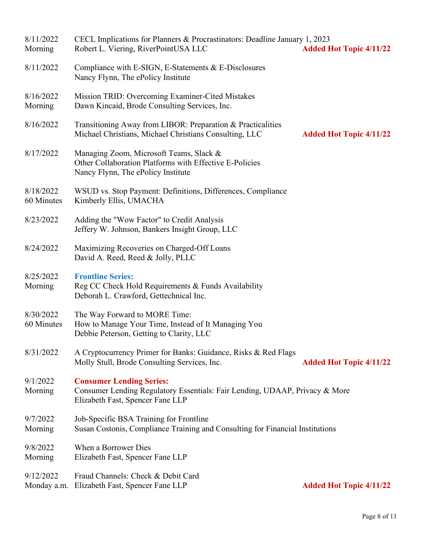| 8/11/2022<br>Morning     | CECL Implications for Planners & Procrastinators: Deadline January 1, 2023<br>Robert L. Viering, RiverPointUSA LLC                                 | <b>Added Hot Topic 4/11/22</b> |
|--------------------------|----------------------------------------------------------------------------------------------------------------------------------------------------|--------------------------------|
| 8/11/2022                | Compliance with E-SIGN, E-Statements & E-Disclosures<br>Nancy Flynn, The ePolicy Institute                                                         |                                |
| 8/16/2022<br>Morning     | Mission TRID: Overcoming Examiner-Cited Mistakes<br>Dawn Kincaid, Brode Consulting Services, Inc.                                                  |                                |
| 8/16/2022                | Transitioning Away from LIBOR: Preparation & Practicalities<br>Michael Christians, Michael Christians Consulting, LLC                              | <b>Added Hot Topic 4/11/22</b> |
| 8/17/2022                | Managing Zoom, Microsoft Teams, Slack &<br>Other Collaboration Platforms with Effective E-Policies<br>Nancy Flynn, The ePolicy Institute           |                                |
| 8/18/2022<br>60 Minutes  | WSUD vs. Stop Payment: Definitions, Differences, Compliance<br>Kimberly Ellis, UMACHA                                                              |                                |
| 8/23/2022                | Adding the "Wow Factor" to Credit Analysis<br>Jeffery W. Johnson, Bankers Insight Group, LLC                                                       |                                |
| 8/24/2022                | Maximizing Recoveries on Charged-Off Loans<br>David A. Reed, Reed & Jolly, PLLC                                                                    |                                |
| 8/25/2022<br>Morning     | <b>Frontline Series:</b><br>Reg CC Check Hold Requirements & Funds Availability<br>Deborah L. Crawford, Gettechnical Inc.                          |                                |
| 8/30/2022<br>60 Minutes  | The Way Forward to MORE Time:<br>How to Manage Your Time, Instead of It Managing You<br>Debbie Peterson, Getting to Clarity, LLC                   |                                |
| 8/31/2022                | A Cryptocurrency Primer for Banks: Guidance, Risks & Red Flags<br>Molly Stull, Brode Consulting Services, Inc.                                     | <b>Added Hot Topic 4/11/22</b> |
| 9/1/2022<br>Morning      | <b>Consumer Lending Series:</b><br>Consumer Lending Regulatory Essentials: Fair Lending, UDAAP, Privacy & More<br>Elizabeth Fast, Spencer Fane LLP |                                |
| 9/7/2022<br>Morning      | Job-Specific BSA Training for Frontline<br>Susan Costonis, Compliance Training and Consulting for Financial Institutions                           |                                |
| 9/8/2022<br>Morning      | When a Borrower Dies<br>Elizabeth Fast, Spencer Fane LLP                                                                                           |                                |
| 9/12/2022<br>Monday a.m. | Fraud Channels: Check & Debit Card<br>Elizabeth Fast, Spencer Fane LLP                                                                             | <b>Added Hot Topic 4/11/22</b> |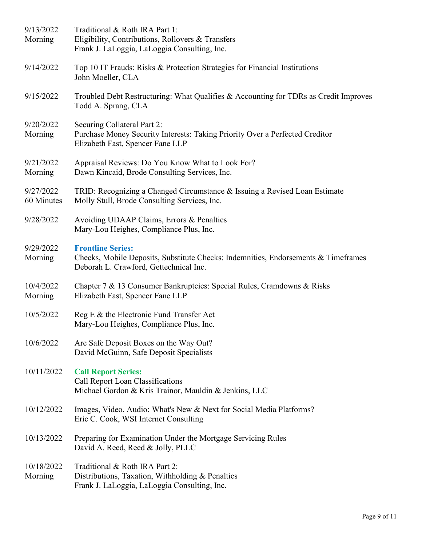| 9/13/2022<br>Morning    | Traditional & Roth IRA Part 1:<br>Eligibility, Contributions, Rollovers & Transfers<br>Frank J. LaLoggia, LaLoggia Consulting, Inc.                      |
|-------------------------|----------------------------------------------------------------------------------------------------------------------------------------------------------|
| 9/14/2022               | Top 10 IT Frauds: Risks & Protection Strategies for Financial Institutions<br>John Moeller, CLA                                                          |
| 9/15/2022               | Troubled Debt Restructuring: What Qualifies & Accounting for TDRs as Credit Improves<br>Todd A. Sprang, CLA                                              |
| 9/20/2022<br>Morning    | Securing Collateral Part 2:<br>Purchase Money Security Interests: Taking Priority Over a Perfected Creditor<br>Elizabeth Fast, Spencer Fane LLP          |
| 9/21/2022<br>Morning    | Appraisal Reviews: Do You Know What to Look For?<br>Dawn Kincaid, Brode Consulting Services, Inc.                                                        |
| 9/27/2022<br>60 Minutes | TRID: Recognizing a Changed Circumstance & Issuing a Revised Loan Estimate<br>Molly Stull, Brode Consulting Services, Inc.                               |
| 9/28/2022               | Avoiding UDAAP Claims, Errors & Penalties<br>Mary-Lou Heighes, Compliance Plus, Inc.                                                                     |
| 9/29/2022<br>Morning    | <b>Frontline Series:</b><br>Checks, Mobile Deposits, Substitute Checks: Indemnities, Endorsements & Timeframes<br>Deborah L. Crawford, Gettechnical Inc. |
| 10/4/2022<br>Morning    | Chapter 7 & 13 Consumer Bankruptcies: Special Rules, Cramdowns & Risks<br>Elizabeth Fast, Spencer Fane LLP                                               |
| 10/5/2022               | Reg E & the Electronic Fund Transfer Act<br>Mary-Lou Heighes, Compliance Plus, Inc.                                                                      |
| 10/6/2022               | Are Safe Deposit Boxes on the Way Out?<br>David McGuinn, Safe Deposit Specialists                                                                        |
| 10/11/2022              | <b>Call Report Series:</b><br>Call Report Loan Classifications<br>Michael Gordon & Kris Trainor, Mauldin & Jenkins, LLC                                  |
| 10/12/2022              | Images, Video, Audio: What's New & Next for Social Media Platforms?<br>Eric C. Cook, WSI Internet Consulting                                             |
| 10/13/2022              | Preparing for Examination Under the Mortgage Servicing Rules<br>David A. Reed, Reed & Jolly, PLLC                                                        |
| 10/18/2022<br>Morning   | Traditional & Roth IRA Part 2:<br>Distributions, Taxation, Withholding & Penalties<br>Frank J. LaLoggia, LaLoggia Consulting, Inc.                       |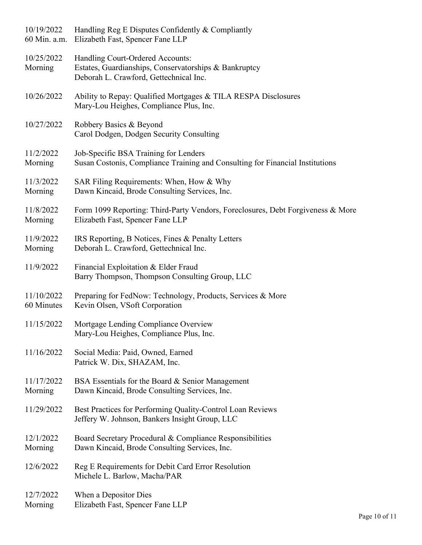| 10/19/2022            | Handling Reg E Disputes Confidently & Compliantly                                                                                   |
|-----------------------|-------------------------------------------------------------------------------------------------------------------------------------|
| 60 Min. a.m.          | Elizabeth Fast, Spencer Fane LLP                                                                                                    |
| 10/25/2022<br>Morning | Handling Court-Ordered Accounts:<br>Estates, Guardianships, Conservatorships & Bankruptcy<br>Deborah L. Crawford, Gettechnical Inc. |
| 10/26/2022            | Ability to Repay: Qualified Mortgages & TILA RESPA Disclosures<br>Mary-Lou Heighes, Compliance Plus, Inc.                           |
| 10/27/2022            | Robbery Basics & Beyond<br>Carol Dodgen, Dodgen Security Consulting                                                                 |
| 11/2/2022             | Job-Specific BSA Training for Lenders                                                                                               |
| Morning               | Susan Costonis, Compliance Training and Consulting for Financial Institutions                                                       |
| 11/3/2022             | SAR Filing Requirements: When, How & Why                                                                                            |
| Morning               | Dawn Kincaid, Brode Consulting Services, Inc.                                                                                       |
| 11/8/2022             | Form 1099 Reporting: Third-Party Vendors, Foreclosures, Debt Forgiveness & More                                                     |
| Morning               | Elizabeth Fast, Spencer Fane LLP                                                                                                    |
| 11/9/2022             | IRS Reporting, B Notices, Fines & Penalty Letters                                                                                   |
| Morning               | Deborah L. Crawford, Gettechnical Inc.                                                                                              |
| 11/9/2022             | Financial Exploitation & Elder Fraud<br>Barry Thompson, Thompson Consulting Group, LLC                                              |
| 11/10/2022            | Preparing for FedNow: Technology, Products, Services & More                                                                         |
| 60 Minutes            | Kevin Olsen, VSoft Corporation                                                                                                      |
| 11/15/2022            | Mortgage Lending Compliance Overview<br>Mary-Lou Heighes, Compliance Plus, Inc.                                                     |
| 11/16/2022            | Social Media: Paid, Owned, Earned<br>Patrick W. Dix, SHAZAM, Inc.                                                                   |
| 11/17/2022            | BSA Essentials for the Board & Senior Management                                                                                    |
| Morning               | Dawn Kincaid, Brode Consulting Services, Inc.                                                                                       |
| 11/29/2022            | Best Practices for Performing Quality-Control Loan Reviews<br>Jeffery W. Johnson, Bankers Insight Group, LLC                        |
| 12/1/2022             | Board Secretary Procedural & Compliance Responsibilities                                                                            |
| Morning               | Dawn Kincaid, Brode Consulting Services, Inc.                                                                                       |
| 12/6/2022             | Reg E Requirements for Debit Card Error Resolution<br>Michele L. Barlow, Macha/PAR                                                  |
| 12/7/2022             | When a Depositor Dies                                                                                                               |
| Morning               | Elizabeth Fast, Spencer Fane LLP                                                                                                    |